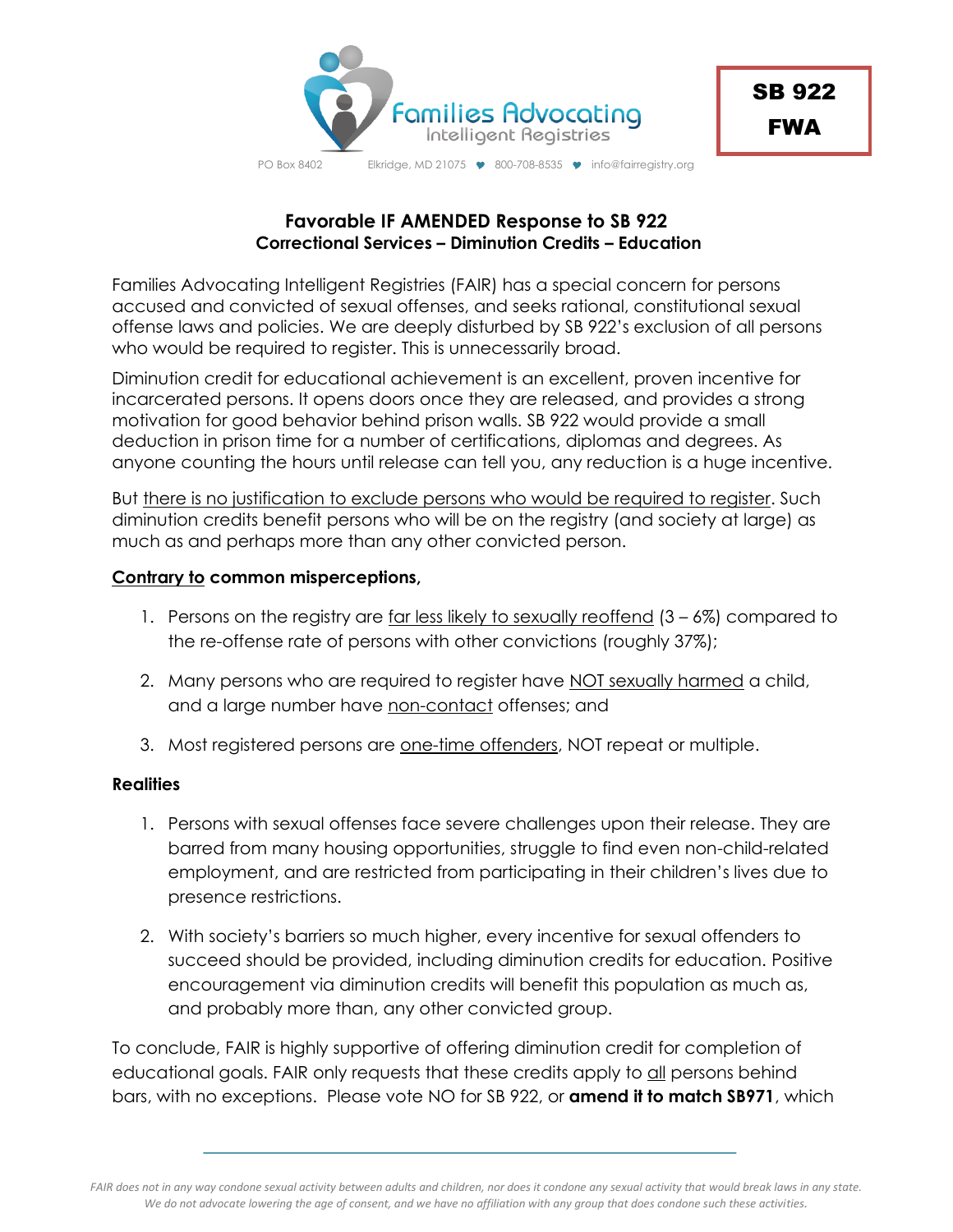

PO Box 8402 Elkridge, MD 21075 9 800-708-8535 9 info@fairregistry.org

## **Favorable IF AMENDED Response to SB 922 Correctional Services – Diminution Credits – Education**

Families Advocating Intelligent Registries (FAIR) has a special concern for persons accused and convicted of sexual offenses, and seeks rational, constitutional sexual offense laws and policies. We are deeply disturbed by SB 922's exclusion of all persons who would be required to register. This is unnecessarily broad.

Diminution credit for educational achievement is an excellent, proven incentive for incarcerated persons. It opens doors once they are released, and provides a strong motivation for good behavior behind prison walls. SB 922 would provide a small deduction in prison time for a number of certifications, diplomas and degrees. As anyone counting the hours until release can tell you, any reduction is a huge incentive.

But there is no justification to exclude persons who would be required to register. Such diminution credits benefit persons who will be on the registry (and society at large) as much as and perhaps more than any other convicted person.

## **Contrary to common misperceptions,**

- 1. Persons on the registry are far less likely to sexually reoffend  $(3 6%)$  compared to the re-offense rate of persons with other convictions (roughly 37%);
- 2. Many persons who are required to register have NOT sexually harmed a child, and a large number have non-contact offenses; and
- 3. Most registered persons are one-time offenders, NOT repeat or multiple.

## **Realities**

- 1. Persons with sexual offenses face severe challenges upon their release. They are barred from many housing opportunities, struggle to find even non-child-related employment, and are restricted from participating in their children's lives due to presence restrictions.
- 2. With society's barriers so much higher, every incentive for sexual offenders to succeed should be provided, including diminution credits for education. Positive encouragement via diminution credits will benefit this population as much as, and probably more than, any other convicted group.

To conclude, FAIR is highly supportive of offering diminution credit for completion of educational goals. FAIR only requests that these credits apply to all persons behind bars, with no exceptions. Please vote NO for SB 922, or **amend it to match SB971**, which